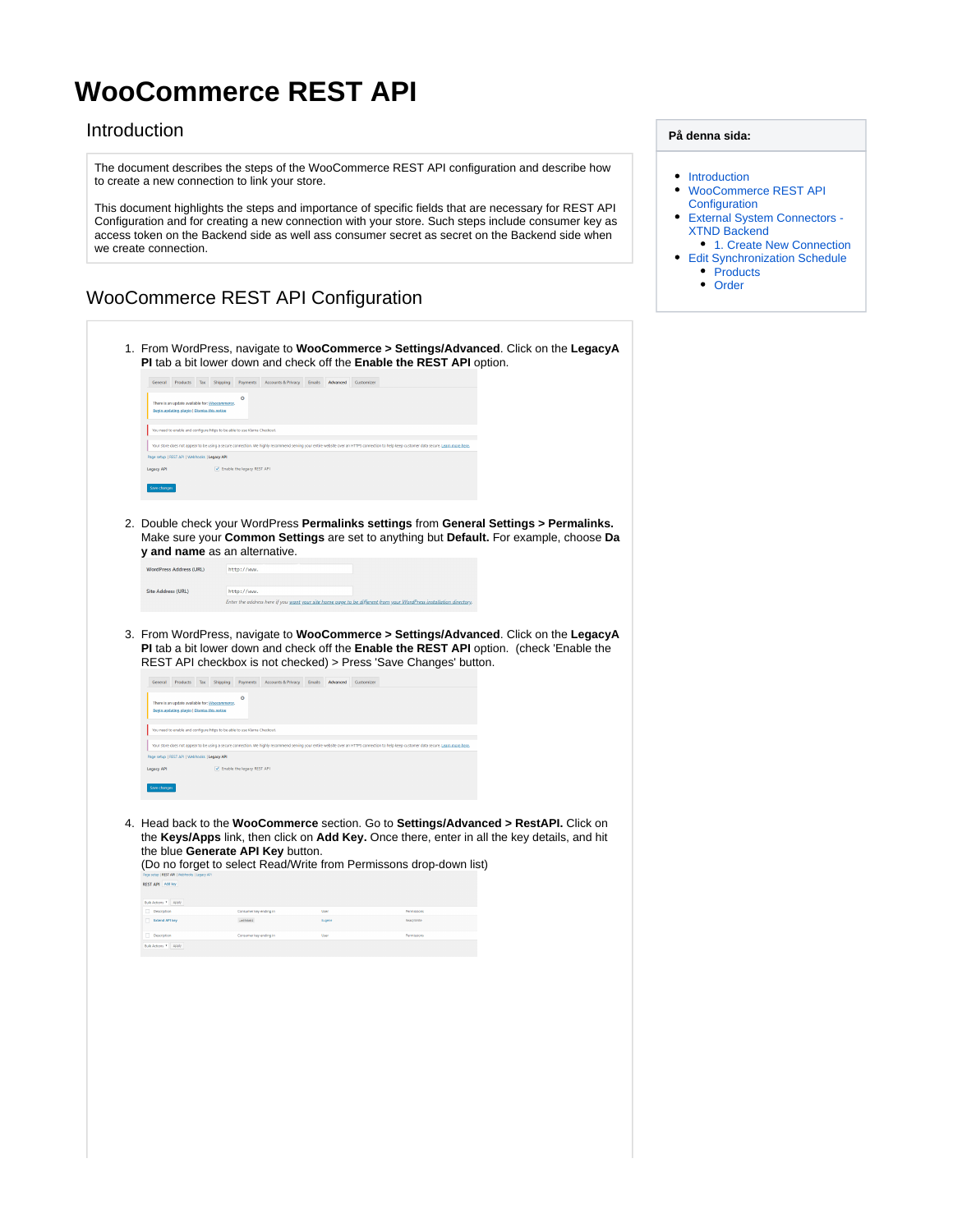# <span id="page-0-0"></span>**WooCommerce REST API**

### Introduction

The document describes the steps of the WooCommerce REST API configuration and describe how to create a new connection to link your store.

This document highlights the steps and importance of specific fields that are necessary for REST API Configuration and for creating a new connection with your store. Such steps include consumer key as access token on the Backend side as well ass consumer secret as secret on the Backend side when we create connection.

## <span id="page-0-1"></span>WooCommerce REST API Configuration

 $\sqrt{\frac{1}{2}}$  Enable the

egacy API

- 1. From WordPress, navigate to **WooCommerce > Settings/Advanced**. Click on the **LegacyA PI** tab a bit lower down and check off the **Enable the REST API** option. General Products Tax Shipping Payments Accounts & Privacy Emails Advanced Customizer .<br>update available for: <u>Woocommerce</u>.<br><u>Ating plugin | Dismiss this notice</u> need to enable and configure https to be able to use Klarna Checkout ot appear to be using a secure connection. We highly recommend serving yo Legacy API
	- 2. Double check your WordPress **Permalinks settings** from **General Settings > Permalinks.**  Make sure your **Common Settings** are set to anything but **Default.** For example, choose **Da y and name** as an alternative.

| <b>WordPress Address (URL)</b> | http://www.                                                                                                                       |  |
|--------------------------------|-----------------------------------------------------------------------------------------------------------------------------------|--|
| Site Address (URL)             | http://www.<br>Enter the address here if you want your site home page to be different from your WordPress installation directory. |  |

3. From WordPress, navigate to **WooCommerce > Settings/Advanced**. Click on the **LegacyA PI** tab a bit lower down and check off the **Enable the REST API** option. (check 'Enable the REST API checkbox is not checked) > Press 'Save Changes' button.

| General      | <b>Products</b>                                                                               | Tax | Shipping | Payments                                                                  | <b>Accounts &amp; Privacy</b> | <b>Emails</b> | Advanced | Customizer                                                                                                                                                                               |
|--------------|-----------------------------------------------------------------------------------------------|-----|----------|---------------------------------------------------------------------------|-------------------------------|---------------|----------|------------------------------------------------------------------------------------------------------------------------------------------------------------------------------------------|
|              | There is an update available for: Woocommerce.<br>Begin updating plugin   Dismiss this notice |     |          | ø                                                                         |                               |               |          |                                                                                                                                                                                          |
|              |                                                                                               |     |          | You need to enable and configure https to be able to use Klarna Checkout. |                               |               |          |                                                                                                                                                                                          |
|              |                                                                                               |     |          |                                                                           |                               |               |          | Your store does not appear to be using a secure connection. We highly recommend serving your entire website over an HTTPS connection to help keep customer data secure. Learn more here. |
|              | Page setup   REST API   Webhooks   Legacy API                                                 |     |          |                                                                           |                               |               |          |                                                                                                                                                                                          |
| Legacy API   |                                                                                               |     |          | Enable the legacy REST API                                                |                               |               |          |                                                                                                                                                                                          |
|              |                                                                                               |     |          |                                                                           |                               |               |          |                                                                                                                                                                                          |
| Save changes |                                                                                               |     |          |                                                                           |                               |               |          |                                                                                                                                                                                          |

4. Head back to the **WooCommerce** section. Go to **Settings/Advanced > RestAPI.** Click on the **Keys/Apps** link, then click on **Add Key.** Once there, enter in all the key details, and hit the blue **Generate API Key** button.

(Do no forget to select Read/Write from Permissons drop-down list) **REST API** Adding Bulk Actions \* Apply ending in Permissions و User<br>توجه المستقبل المستقبل المستقبل المستقبل المستقبل المستقبل المستقبل المستقبل المستقبل المستقبل المستقبل المستقبل<br>المستقبل المستقبل المستقبل المستقبل المستقبل المستقبل المستقبل المستقبل المستقب

| Description          | Consumer key ending in | Usec | Permissions |
|----------------------|------------------------|------|-------------|
| Bulk Actions * Apply |                        |      |             |

### **På denna sida:**

- [Introduction](#page-0-0)
- [WooCommerce REST API](#page-0-1)  **[Configuration](#page-0-1)**
- [External System Connectors](#page-1-0)  [XTND Backend](#page-1-0)
- [1. Create New Connection](#page-1-1) • [Edit Synchronization Schedule](#page-2-0) • [Products](#page-2-1)
	- [Order](#page-2-2)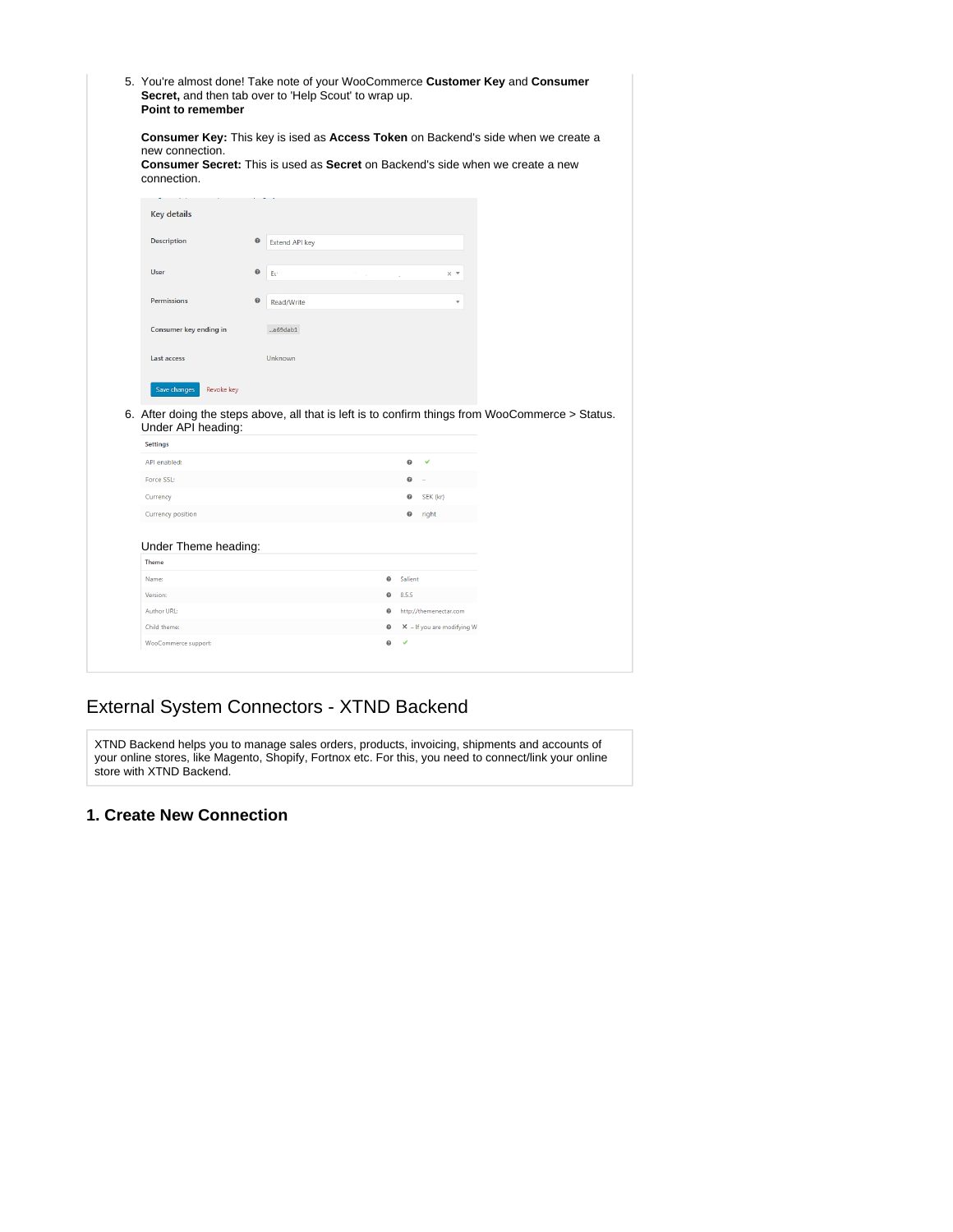| 5. You're almost done! Take note of your WooCommerce Customer Key and Consumer<br>Secret, and then tab over to 'Help Scout' to wrap up.<br>Point to remember                                                        |           |                |                                   |       |         |                                                        |  |  |
|---------------------------------------------------------------------------------------------------------------------------------------------------------------------------------------------------------------------|-----------|----------------|-----------------------------------|-------|---------|--------------------------------------------------------|--|--|
| Consumer Key: This key is ised as Access Token on Backend's side when we create a<br>new connection.<br><b>Consumer Secret:</b> This is used as <b>Secret</b> on Backend's side when we create a new<br>connection. |           |                |                                   |       |         |                                                        |  |  |
| <b>Key details</b>                                                                                                                                                                                                  |           |                |                                   |       |         |                                                        |  |  |
| <b>Description</b>                                                                                                                                                                                                  | $\bullet$ | Extend API key |                                   |       |         |                                                        |  |  |
| <b>User</b>                                                                                                                                                                                                         | $\bullet$ | Ee             |                                   |       |         | $\times$ $\overline{\phantom{0}}$                      |  |  |
| <b>Permissions</b>                                                                                                                                                                                                  | $\bullet$ | Read/Write     |                                   |       |         | v                                                      |  |  |
| Consumer key ending in                                                                                                                                                                                              |           | $-a69dab1$     |                                   |       |         |                                                        |  |  |
| Last access                                                                                                                                                                                                         |           | Unknown        |                                   |       |         |                                                        |  |  |
|                                                                                                                                                                                                                     |           |                |                                   |       |         |                                                        |  |  |
| Save changes<br>Revoke key<br>6. After doing the steps above, all that is left is to confirm things from WooCommerce > Status.                                                                                      |           |                |                                   |       |         |                                                        |  |  |
| Under API heading:                                                                                                                                                                                                  |           |                |                                   |       |         |                                                        |  |  |
| <b>Settings</b><br>API enabled:                                                                                                                                                                                     |           |                |                                   |       | €       | V                                                      |  |  |
|                                                                                                                                                                                                                     |           |                |                                   |       |         |                                                        |  |  |
| Force SSL:                                                                                                                                                                                                          |           |                |                                   |       | Ø<br>❸  | SEK (kr)                                               |  |  |
| Currency<br><b>Currency position</b>                                                                                                                                                                                |           |                |                                   |       | ℯ       | right                                                  |  |  |
| Under Theme heading:                                                                                                                                                                                                |           |                |                                   |       |         |                                                        |  |  |
| <b>Theme</b>                                                                                                                                                                                                        |           |                |                                   |       |         |                                                        |  |  |
| Name:                                                                                                                                                                                                               |           |                | $\bm{\Theta}$                     |       | Salient |                                                        |  |  |
| Version:                                                                                                                                                                                                            |           |                | ๏                                 | 8.5.5 |         |                                                        |  |  |
| <b>Author URL:</b><br>Child theme:                                                                                                                                                                                  |           |                | $\boldsymbol{\Theta}$<br>$\Omega$ |       |         | http://themenectar.com<br>$X - If you are modifying W$ |  |  |

# <span id="page-1-0"></span>External System Connectors - XTND Backend

XTND Backend helps you to manage sales orders, products, invoicing, shipments and accounts of your online stores, like Magento, Shopify, Fortnox etc. For this, you need to connect/link your online store with XTND Backend.

### <span id="page-1-1"></span>**1. Create New Connection**